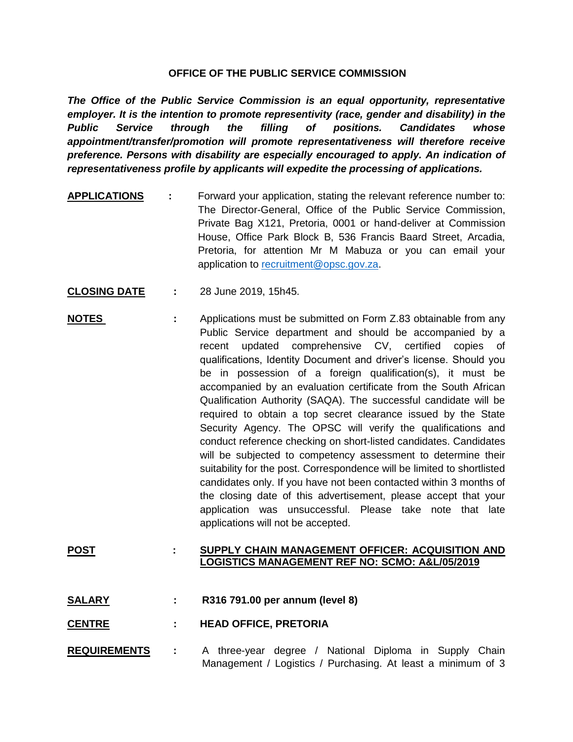## **OFFICE OF THE PUBLIC SERVICE COMMISSION**

*The Office of the Public Service Commission is an equal opportunity, representative employer. It is the intention to promote representivity (race, gender and disability) in the Public Service through the filling of positions. Candidates whose appointment/transfer/promotion will promote representativeness will therefore receive preference. Persons with disability are especially encouraged to apply. An indication of representativeness profile by applicants will expedite the processing of applications.*

- **APPLICATIONS :** Forward your application, stating the relevant reference number to: The Director-General, Office of the Public Service Commission, Private Bag X121, Pretoria, 0001 or hand-deliver at Commission House, Office Park Block B, 536 Francis Baard Street, Arcadia, Pretoria, for attention Mr M Mabuza or you can email your application to [recruitment@opsc.gov.za.](mailto:recruitment@opsc.gov.za)
- **CLOSING DATE :** 28 June 2019, 15h45.
- **NOTES** : Applications must be submitted on Form Z.83 obtainable from any Public Service department and should be accompanied by a recent updated comprehensive CV, certified copies of qualifications, Identity Document and driver's license. Should you be in possession of a foreign qualification(s), it must be accompanied by an evaluation certificate from the South African Qualification Authority (SAQA). The successful candidate will be required to obtain a top secret clearance issued by the State Security Agency. The OPSC will verify the qualifications and conduct reference checking on short-listed candidates. Candidates will be subjected to competency assessment to determine their suitability for the post. Correspondence will be limited to shortlisted candidates only. If you have not been contacted within 3 months of the closing date of this advertisement, please accept that your application was unsuccessful. Please take note that late applications will not be accepted.

## **POST : SUPPLY CHAIN MANAGEMENT OFFICER: ACQUISITION AND LOGISTICS MANAGEMENT REF NO: SCMO: A&L/05/2019**

- **SALARY : R316 791.00 per annum (level 8)**
- **CENTRE : HEAD OFFICE, PRETORIA**
- **REQUIREMENTS :** A three-year degree / National Diploma in Supply Chain Management / Logistics / Purchasing. At least a minimum of 3